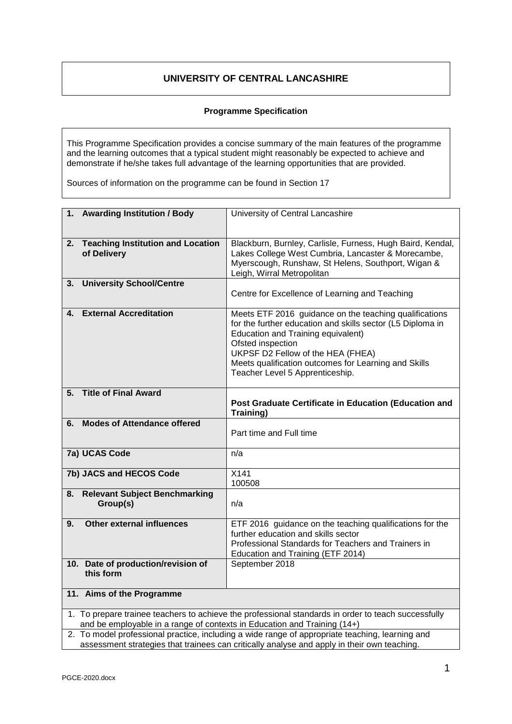# **UNIVERSITY OF CENTRAL LANCASHIRE**

## **Programme Specification**

This Programme Specification provides a concise summary of the main features of the programme and the learning outcomes that a typical student might reasonably be expected to achieve and demonstrate if he/she takes full advantage of the learning opportunities that are provided.

Sources of information on the programme can be found in Section 17

| 1. Awarding Institution / Body                                                                                                                                                  | University of Central Lancashire                                                                                                                                                                                                                                                                                |  |  |  |  |  |  |
|---------------------------------------------------------------------------------------------------------------------------------------------------------------------------------|-----------------------------------------------------------------------------------------------------------------------------------------------------------------------------------------------------------------------------------------------------------------------------------------------------------------|--|--|--|--|--|--|
|                                                                                                                                                                                 |                                                                                                                                                                                                                                                                                                                 |  |  |  |  |  |  |
| 2. Teaching Institution and Location<br>of Delivery                                                                                                                             | Blackburn, Burnley, Carlisle, Furness, Hugh Baird, Kendal,<br>Lakes College West Cumbria, Lancaster & Morecambe,<br>Myerscough, Runshaw, St Helens, Southport, Wigan &<br>Leigh, Wirral Metropolitan                                                                                                            |  |  |  |  |  |  |
| <b>University School/Centre</b><br>3.                                                                                                                                           | Centre for Excellence of Learning and Teaching                                                                                                                                                                                                                                                                  |  |  |  |  |  |  |
| <b>External Accreditation</b><br>4.                                                                                                                                             | Meets ETF 2016 guidance on the teaching qualifications<br>for the further education and skills sector (L5 Diploma in<br>Education and Training equivalent)<br>Ofsted inspection<br>UKPSF D2 Fellow of the HEA (FHEA)<br>Meets qualification outcomes for Learning and Skills<br>Teacher Level 5 Apprenticeship. |  |  |  |  |  |  |
| <b>Title of Final Award</b><br>5.                                                                                                                                               | Post Graduate Certificate in Education (Education and<br>Training)                                                                                                                                                                                                                                              |  |  |  |  |  |  |
| <b>Modes of Attendance offered</b><br>6.                                                                                                                                        | Part time and Full time                                                                                                                                                                                                                                                                                         |  |  |  |  |  |  |
| 7a) UCAS Code                                                                                                                                                                   | n/a                                                                                                                                                                                                                                                                                                             |  |  |  |  |  |  |
| 7b) JACS and HECOS Code                                                                                                                                                         | X141<br>100508                                                                                                                                                                                                                                                                                                  |  |  |  |  |  |  |
| <b>Relevant Subject Benchmarking</b><br>8.<br>Group(s)                                                                                                                          | n/a                                                                                                                                                                                                                                                                                                             |  |  |  |  |  |  |
| <b>Other external influences</b><br>9.                                                                                                                                          | ETF 2016 guidance on the teaching qualifications for the<br>further education and skills sector<br>Professional Standards for Teachers and Trainers in<br>Education and Training (ETF 2014)                                                                                                                     |  |  |  |  |  |  |
| 10. Date of production/revision of<br>this form                                                                                                                                 | September 2018                                                                                                                                                                                                                                                                                                  |  |  |  |  |  |  |
| 11. Aims of the Programme                                                                                                                                                       |                                                                                                                                                                                                                                                                                                                 |  |  |  |  |  |  |
| 1. To prepare trainee teachers to achieve the professional standards in order to teach successfully<br>and be employable in a range of contexts in Education and Training (14+) |                                                                                                                                                                                                                                                                                                                 |  |  |  |  |  |  |

2. To model professional practice, including a wide range of appropriate teaching, learning and assessment strategies that trainees can critically analyse and apply in their own teaching.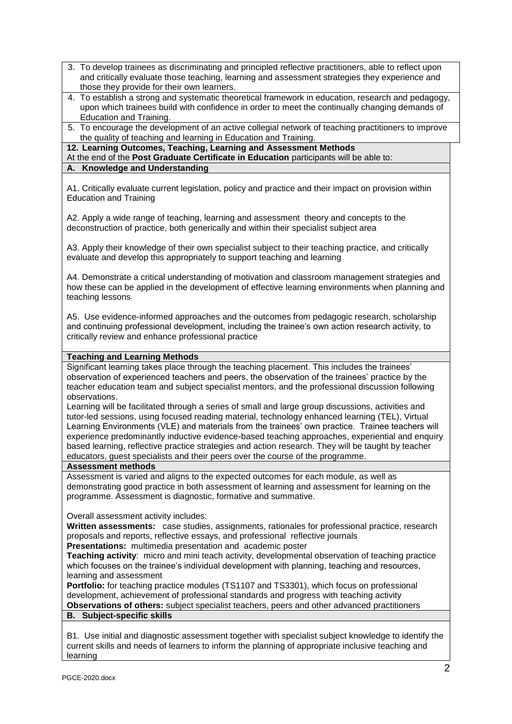- 3. To develop trainees as discriminating and principled reflective practitioners, able to reflect upon and critically evaluate those teaching, learning and assessment strategies they experience and those they provide for their own learners.
- 4. To establish a strong and systematic theoretical framework in education, research and pedagogy, upon which trainees build with confidence in order to meet the continually changing demands of Education and Training.
- 5. To encourage the development of an active collegial network of teaching practitioners to improve the quality of teaching and learning in Education and Training.

**12. Learning Outcomes, Teaching, Learning and Assessment Methods**

At the end of the **Post Graduate Certificate in Education** participants will be able to:

## **A. Knowledge and Understanding**

A1. Critically evaluate current legislation, policy and practice and their impact on provision within Education and Training

A2. Apply a wide range of teaching, learning and assessment theory and concepts to the deconstruction of practice, both generically and within their specialist subject area

A3. Apply their knowledge of their own specialist subject to their teaching practice, and critically evaluate and develop this appropriately to support teaching and learning

A4. Demonstrate a critical understanding of motivation and classroom management strategies and how these can be applied in the development of effective learning environments when planning and teaching lessons

A5. Use evidence-informed approaches and the outcomes from pedagogic research, scholarship and continuing professional development, including the trainee's own action research activity, to critically review and enhance professional practice

## **Teaching and Learning Methods**

Significant learning takes place through the teaching placement. This includes the trainees' observation of experienced teachers and peers, the observation of the trainees' practice by the teacher education team and subject specialist mentors, and the professional discussion following observations.

Learning will be facilitated through a series of small and large group discussions, activities and tutor-led sessions, using focused reading material, technology enhanced learning (TEL), Virtual Learning Environments (VLE) and materials from the trainees' own practice. Trainee teachers will experience predominantly inductive evidence-based teaching approaches, experiential and enquiry based learning, reflective practice strategies and action research. They will be taught by teacher educators, guest specialists and their peers over the course of the programme.

## **Assessment methods**

Assessment is varied and aligns to the expected outcomes for each module, as well as demonstrating good practice in both assessment of learning and assessment for learning on the programme. Assessment is diagnostic, formative and summative.

Overall assessment activity includes:

**Written assessments:** case studies, assignments, rationales for professional practice, research proposals and reports, reflective essays, and professional reflective journals

**Presentations:** multimedia presentation and academic poster

**Teaching activity**: micro and mini teach activity, developmental observation of teaching practice which focuses on the trainee's individual development with planning, teaching and resources, learning and assessment

**Portfolio:** for teaching practice modules (TS1107 and TS3301), which focus on professional development, achievement of professional standards and progress with teaching activity **Observations of others:** subject specialist teachers, peers and other advanced practitioners

## **B. Subject-specific skills**

B1. Use initial and diagnostic assessment together with specialist subject knowledge to identify the current skills and needs of learners to inform the planning of appropriate inclusive teaching and learning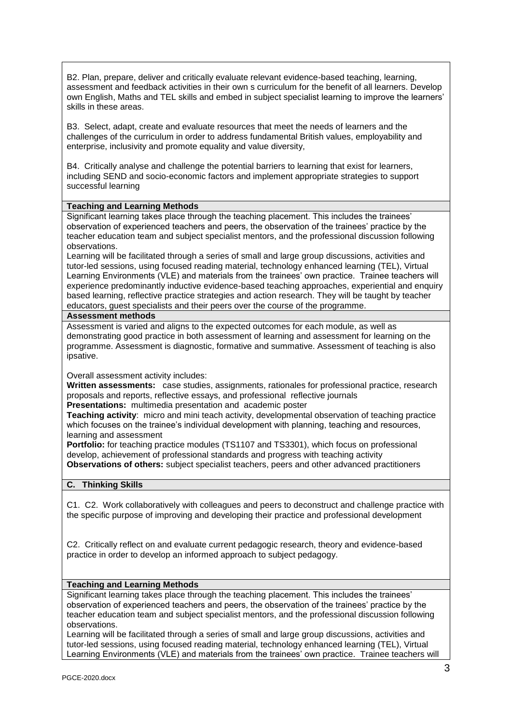B2. Plan, prepare, deliver and critically evaluate relevant evidence-based teaching, learning, assessment and feedback activities in their own s curriculum for the benefit of all learners. Develop own English, Maths and TEL skills and embed in subject specialist learning to improve the learners' skills in these areas.

B3. Select, adapt, create and evaluate resources that meet the needs of learners and the challenges of the curriculum in order to address fundamental British values, employability and enterprise, inclusivity and promote equality and value diversity,

B4. Critically analyse and challenge the potential barriers to learning that exist for learners, including SEND and socio-economic factors and implement appropriate strategies to support successful learning

## **Teaching and Learning Methods**

Significant learning takes place through the teaching placement. This includes the trainees' observation of experienced teachers and peers, the observation of the trainees' practice by the teacher education team and subject specialist mentors, and the professional discussion following observations.

Learning will be facilitated through a series of small and large group discussions, activities and tutor-led sessions, using focused reading material, technology enhanced learning (TEL), Virtual Learning Environments (VLE) and materials from the trainees' own practice. Trainee teachers will experience predominantly inductive evidence-based teaching approaches, experiential and enquiry based learning, reflective practice strategies and action research. They will be taught by teacher educators, guest specialists and their peers over the course of the programme.

#### **Assessment methods**

Assessment is varied and aligns to the expected outcomes for each module, as well as demonstrating good practice in both assessment of learning and assessment for learning on the programme. Assessment is diagnostic, formative and summative. Assessment of teaching is also ipsative.

Overall assessment activity includes:

**Written assessments:** case studies, assignments, rationales for professional practice, research proposals and reports, reflective essays, and professional reflective journals **Presentations:** multimedia presentation and academic poster

**Teaching activity**: micro and mini teach activity, developmental observation of teaching practice which focuses on the trainee's individual development with planning, teaching and resources, learning and assessment

**Portfolio:** for teaching practice modules (TS1107 and TS3301), which focus on professional develop, achievement of professional standards and progress with teaching activity **Observations of others:** subject specialist teachers, peers and other advanced practitioners

#### **C. Thinking Skills**

C1. C2. Work collaboratively with colleagues and peers to deconstruct and challenge practice with the specific purpose of improving and developing their practice and professional development

C2. Critically reflect on and evaluate current pedagogic research, theory and evidence-based practice in order to develop an informed approach to subject pedagogy.

#### **Teaching and Learning Methods**

Significant learning takes place through the teaching placement. This includes the trainees' observation of experienced teachers and peers, the observation of the trainees' practice by the teacher education team and subject specialist mentors, and the professional discussion following observations.

Learning will be facilitated through a series of small and large group discussions, activities and tutor-led sessions, using focused reading material, technology enhanced learning (TEL), Virtual Learning Environments (VLE) and materials from the trainees' own practice. Trainee teachers will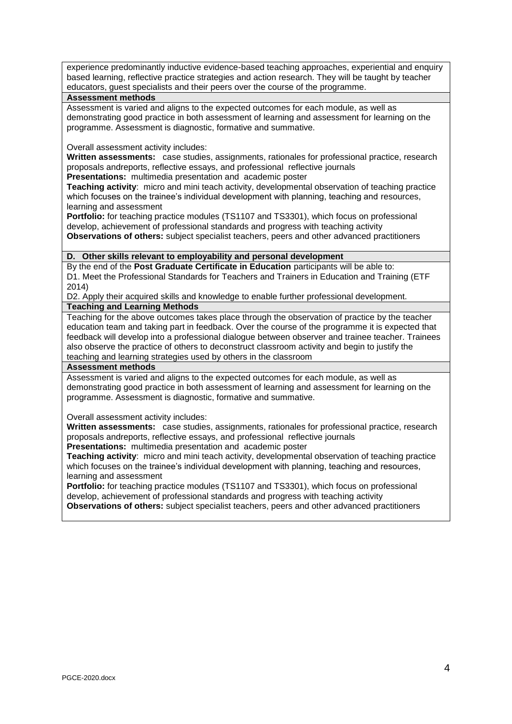experience predominantly inductive evidence-based teaching approaches, experiential and enquiry based learning, reflective practice strategies and action research. They will be taught by teacher educators, guest specialists and their peers over the course of the programme.

#### **Assessment methods**

Assessment is varied and aligns to the expected outcomes for each module, as well as demonstrating good practice in both assessment of learning and assessment for learning on the programme. Assessment is diagnostic, formative and summative.

Overall assessment activity includes:

**Written assessments:** case studies, assignments, rationales for professional practice, research proposals andreports, reflective essays, and professional reflective journals

**Presentations:** multimedia presentation and academic poster

**Teaching activity**: micro and mini teach activity, developmental observation of teaching practice which focuses on the trainee's individual development with planning, teaching and resources, learning and assessment

**Portfolio:** for teaching practice modules (TS1107 and TS3301), which focus on professional develop, achievement of professional standards and progress with teaching activity **Observations of others:** subject specialist teachers, peers and other advanced practitioners

## **D. Other skills relevant to employability and personal development**

By the end of the **Post Graduate Certificate in Education** participants will be able to: D1. Meet the Professional Standards for Teachers and Trainers in Education and Training (ETF 2014)

D2. Apply their acquired skills and knowledge to enable further professional development. **Teaching and Learning Methods**

Teaching for the above outcomes takes place through the observation of practice by the teacher education team and taking part in feedback. Over the course of the programme it is expected that feedback will develop into a professional dialogue between observer and trainee teacher. Trainees also observe the practice of others to deconstruct classroom activity and begin to justify the teaching and learning strategies used by others in the classroom

#### **Assessment methods**

Assessment is varied and aligns to the expected outcomes for each module, as well as demonstrating good practice in both assessment of learning and assessment for learning on the programme. Assessment is diagnostic, formative and summative.

Overall assessment activity includes:

**Written assessments:** case studies, assignments, rationales for professional practice, research proposals andreports, reflective essays, and professional reflective journals **Presentations:** multimedia presentation and academic poster

**Teaching activity**: micro and mini teach activity, developmental observation of teaching practice which focuses on the trainee's individual development with planning, teaching and resources, learning and assessment

**Portfolio:** for teaching practice modules (TS1107 and TS3301), which focus on professional develop, achievement of professional standards and progress with teaching activity **Observations of others:** subject specialist teachers, peers and other advanced practitioners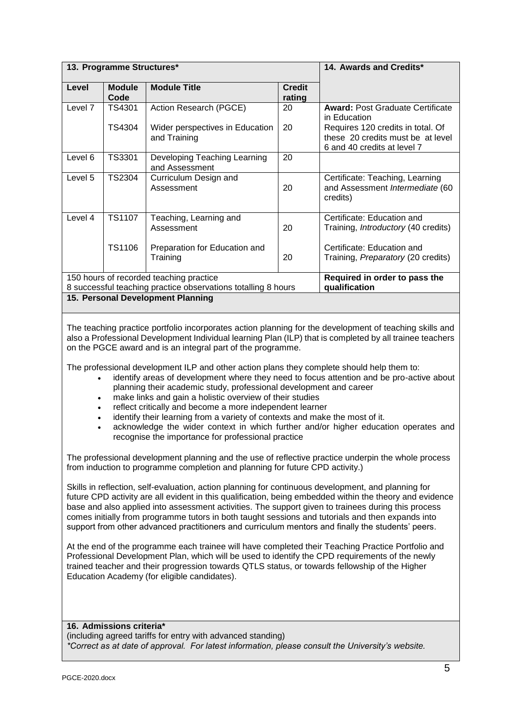|                                   | 13. Programme Structures* |                                                                                                          | 14. Awards and Credits*                        |                                                                                                       |  |  |  |  |  |
|-----------------------------------|---------------------------|----------------------------------------------------------------------------------------------------------|------------------------------------------------|-------------------------------------------------------------------------------------------------------|--|--|--|--|--|
| Level                             | <b>Module</b><br>Code     | <b>Module Title</b>                                                                                      |                                                |                                                                                                       |  |  |  |  |  |
| Level 7                           | TS4301                    | Action Research (PGCE)                                                                                   | 20                                             | <b>Award: Post Graduate Certificate</b><br>in Education                                               |  |  |  |  |  |
|                                   | TS4304                    | Wider perspectives in Education<br>and Training                                                          | 20                                             | Requires 120 credits in total. Of<br>these 20 credits must be at level<br>6 and 40 credits at level 7 |  |  |  |  |  |
| Level 6                           | <b>TS3301</b>             | Developing Teaching Learning<br>and Assessment                                                           | 20                                             |                                                                                                       |  |  |  |  |  |
| Level 5                           | TS2304                    | Curriculum Design and<br>Assessment                                                                      | 20                                             | Certificate: Teaching, Learning<br>and Assessment Intermediate (60<br>credits)                        |  |  |  |  |  |
| Level 4                           | TS1107                    | Teaching, Learning and<br>Assessment                                                                     | 20                                             | Certificate: Education and<br>Training, <i>Introductory</i> (40 credits)                              |  |  |  |  |  |
|                                   | TS1106                    | Preparation for Education and<br>Training                                                                | 20                                             | Certificate: Education and<br>Training, Preparatory (20 credits)                                      |  |  |  |  |  |
|                                   |                           | 150 hours of recorded teaching practice<br>8 successful teaching practice observations totalling 8 hours | Required in order to pass the<br>qualification |                                                                                                       |  |  |  |  |  |
| 15. Personal Development Planning |                           |                                                                                                          |                                                |                                                                                                       |  |  |  |  |  |

The teaching practice portfolio incorporates action planning for the development of teaching skills and also a Professional Development Individual learning Plan (ILP) that is completed by all trainee teachers on the PGCE award and is an integral part of the programme.

The professional development ILP and other action plans they complete should help them to:

- identify areas of development where they need to focus attention and be pro-active about planning their academic study, professional development and career
- make links and gain a holistic overview of their studies
- reflect critically and become a more independent learner
- identify their learning from a variety of contexts and make the most of it.
- acknowledge the wider context in which further and/or higher education operates and recognise the importance for professional practice

The professional development planning and the use of reflective practice underpin the whole process from induction to programme completion and planning for future CPD activity.)

Skills in reflection, self-evaluation, action planning for continuous development, and planning for future CPD activity are all evident in this qualification, being embedded within the theory and evidence base and also applied into assessment activities. The support given to trainees during this process comes initially from programme tutors in both taught sessions and tutorials and then expands into support from other advanced practitioners and curriculum mentors and finally the students' peers.

At the end of the programme each trainee will have completed their Teaching Practice Portfolio and Professional Development Plan, which will be used to identify the CPD requirements of the newly trained teacher and their progression towards QTLS status, or towards fellowship of the Higher Education Academy (for eligible candidates).

**16. Admissions criteria\*** (including agreed tariffs for entry with advanced standing) *\*Correct as at date of approval. For latest information, please consult the University's website.*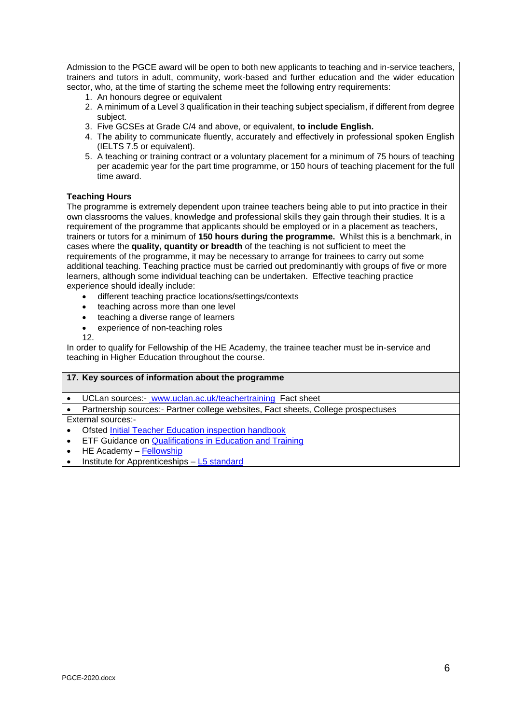Admission to the PGCE award will be open to both new applicants to teaching and in-service teachers, trainers and tutors in adult, community, work-based and further education and the wider education sector, who, at the time of starting the scheme meet the following entry requirements:

- 1. An honours degree or equivalent
- 2. A minimum of a Level 3 qualification in their teaching subject specialism, if different from degree subject.
- 3. Five GCSEs at Grade C/4 and above, or equivalent, **to include English.**
- 4. The ability to communicate fluently, accurately and effectively in professional spoken English (IELTS 7.5 or equivalent).
- 5. A teaching or training contract or a voluntary placement for a minimum of 75 hours of teaching per academic year for the part time programme, or 150 hours of teaching placement for the full time award.

## **Teaching Hours**

The programme is extremely dependent upon trainee teachers being able to put into practice in their own classrooms the values, knowledge and professional skills they gain through their studies. It is a requirement of the programme that applicants should be employed or in a placement as teachers, trainers or tutors for a minimum of **150 hours during the programme.** Whilst this is a benchmark, in cases where the **quality, quantity or breadth** of the teaching is not sufficient to meet the requirements of the programme, it may be necessary to arrange for trainees to carry out some additional teaching. Teaching practice must be carried out predominantly with groups of five or more learners, although some individual teaching can be undertaken. Effective teaching practice experience should ideally include:

- different teaching practice locations/settings/contexts
- teaching across more than one level
- teaching a diverse range of learners
- experience of non-teaching roles
- 12.

In order to qualify for Fellowship of the HE Academy, the trainee teacher must be in-service and teaching in Higher Education throughout the course.

#### **17. Key sources of information about the programme**

UCLan sources:- [www.uclan.ac.uk/teachertraining](http://www.uclan.ac.uk/teachertraining) Fact sheet

Partnership sources:- Partner college websites, Fact sheets, College prospectuses

External sources:-

- Ofsted [Initial Teacher Education inspection handbook](https://assets.publishing.service.gov.uk/government/uploads/system/uploads/attachment_data/file/700635/ITE_handbook_April_2018.pdf)
- **ETF Guidance on [Qualifications in Education and Training](https://www.feadvice.org.uk/i-am-ite-provider-etf-guidance-documents/qualifications-education-and-training)**
- $\bullet$  HE Academy [Fellowship](https://www.heacademy.ac.uk/individuals/fellowship#section-3)
- Institute for Apprenticeships [L5 standard](https://www.instituteforapprenticeships.org/apprenticeship-standards/learning-and-skills-teacher/)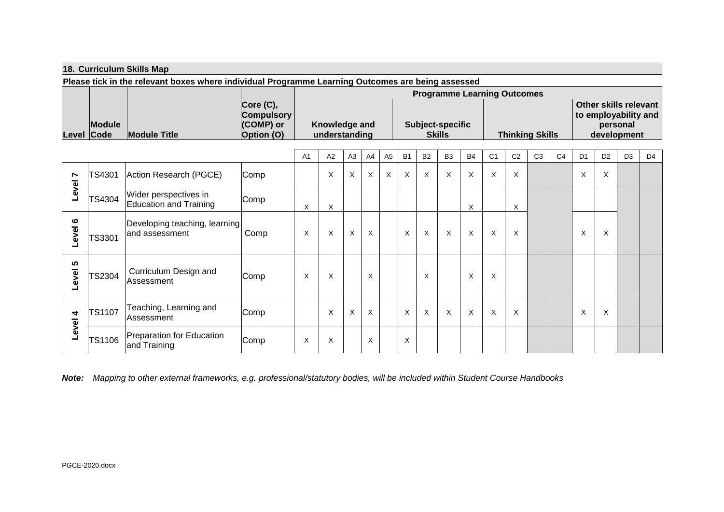## **18. Curriculum Skills Map**

**Please tick in the relevant boxes where individual Programme Learning Outcomes are being assessed**

|               |                     |                   | <b>Programme Learning Outcomes</b> |                         |                        |                       |  |  |  |  |  |  |  |
|---------------|---------------------|-------------------|------------------------------------|-------------------------|------------------------|-----------------------|--|--|--|--|--|--|--|
|               |                     | Core (C),         |                                    |                         |                        | Other skills relevant |  |  |  |  |  |  |  |
|               |                     | <b>Compulsory</b> |                                    |                         |                        | to employability and  |  |  |  |  |  |  |  |
| <b>Module</b> |                     | <b>(COMP)</b> or  | Knowledge and                      | <b>Subject-specific</b> |                        | personal              |  |  |  |  |  |  |  |
| Level Code    | <b>Module Title</b> | <b>Option (O)</b> | understanding                      | <b>Skills</b>           | <b>Thinking Skills</b> | development           |  |  |  |  |  |  |  |

|            |               |                                                 |      | A <sub>1</sub> | A2 | A <sub>3</sub> | A4 | A <sub>5</sub> | B <sub>1</sub> | <b>B2</b> | B <sub>3</sub> | <b>B4</b> | C <sub>1</sub> | C <sub>2</sub> | C <sub>3</sub> | C <sub>4</sub> | D <sub>1</sub> | D <sub>2</sub> | D <sub>3</sub> | D <sub>4</sub> |
|------------|---------------|-------------------------------------------------|------|----------------|----|----------------|----|----------------|----------------|-----------|----------------|-----------|----------------|----------------|----------------|----------------|----------------|----------------|----------------|----------------|
| N<br>Level | TS4301        | Action Research (PGCE)                          | Comp |                | X  | X              | X  | X              | X              | $\times$  | X              | X         | X              | X              |                |                | Χ              | X              |                |                |
|            | TS4304        | Wider perspectives in<br>Education and Training | Comp | X              | X  |                |    |                |                |           |                | X         |                | X              |                |                |                |                |                |                |
| ဖ<br>evel  | TS3301        | Developing teaching, learning<br>and assessment | Comp | X              | X  | $\times$       | X  |                | $\times$       | $\times$  | X              | X         | $\times$       | $\times$       |                |                | X              | X              |                |                |
| 5<br>Level | TS2304        | Curriculum Design and<br>Assessment             | Comp | X              | X  |                | X  |                |                | X         |                | X         | X              |                |                |                |                |                |                |                |
| 4<br>Level | <b>TS1107</b> | Teaching, Learning and<br><b>Assessment</b>     | Comp |                | X  | $\times$       | X  |                | X              | $\times$  | X              | X         | X              | X              |                |                | X              | X              |                |                |
|            | TS1106        | Preparation for Education<br>and Training       | Comp | X              | X  |                | X  |                | X              |           |                |           |                |                |                |                |                |                |                |                |

*Note: Mapping to other external frameworks, e.g. professional/statutory bodies, will be included within Student Course Handbooks*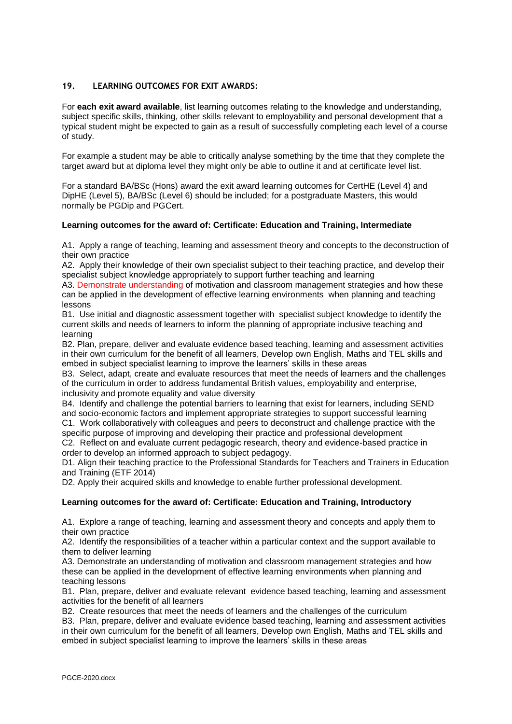## **19. LEARNING OUTCOMES FOR EXIT AWARDS:**

For **each exit award available**, list learning outcomes relating to the knowledge and understanding, subject specific skills, thinking, other skills relevant to employability and personal development that a typical student might be expected to gain as a result of successfully completing each level of a course of study.

For example a student may be able to critically analyse something by the time that they complete the target award but at diploma level they might only be able to outline it and at certificate level list.

For a standard BA/BSc (Hons) award the exit award learning outcomes for CertHE (Level 4) and DipHE (Level 5), BA/BSc (Level 6) should be included; for a postgraduate Masters, this would normally be PGDip and PGCert.

### **Learning outcomes for the award of: Certificate: Education and Training, Intermediate**

A1. Apply a range of teaching, learning and assessment theory and concepts to the deconstruction of their own practice

A2. Apply their knowledge of their own specialist subject to their teaching practice, and develop their specialist subject knowledge appropriately to support further teaching and learning

A3. Demonstrate understanding of motivation and classroom management strategies and how these can be applied in the development of effective learning environments when planning and teaching lessons

B1. Use initial and diagnostic assessment together with specialist subject knowledge to identify the current skills and needs of learners to inform the planning of appropriate inclusive teaching and learning

B2. Plan, prepare, deliver and evaluate evidence based teaching, learning and assessment activities in their own curriculum for the benefit of all learners, Develop own English, Maths and TEL skills and embed in subject specialist learning to improve the learners' skills in these areas

B3. Select, adapt, create and evaluate resources that meet the needs of learners and the challenges of the curriculum in order to address fundamental British values, employability and enterprise, inclusivity and promote equality and value diversity

B4. Identify and challenge the potential barriers to learning that exist for learners, including SEND and socio-economic factors and implement appropriate strategies to support successful learning C1. Work collaboratively with colleagues and peers to deconstruct and challenge practice with the specific purpose of improving and developing their practice and professional development

C2. Reflect on and evaluate current pedagogic research, theory and evidence-based practice in order to develop an informed approach to subject pedagogy.

D1. Align their teaching practice to the Professional Standards for Teachers and Trainers in Education and Training (ETF 2014)

D2. Apply their acquired skills and knowledge to enable further professional development.

#### **Learning outcomes for the award of: Certificate: Education and Training, Introductory**

A1. Explore a range of teaching, learning and assessment theory and concepts and apply them to their own practice

A2. Identify the responsibilities of a teacher within a particular context and the support available to them to deliver learning

A3. Demonstrate an understanding of motivation and classroom management strategies and how these can be applied in the development of effective learning environments when planning and teaching lessons

B1. Plan, prepare, deliver and evaluate relevant evidence based teaching, learning and assessment activities for the benefit of all learners

B2. Create resources that meet the needs of learners and the challenges of the curriculum

B3. Plan, prepare, deliver and evaluate evidence based teaching, learning and assessment activities in their own curriculum for the benefit of all learners, Develop own English, Maths and TEL skills and embed in subject specialist learning to improve the learners' skills in these areas